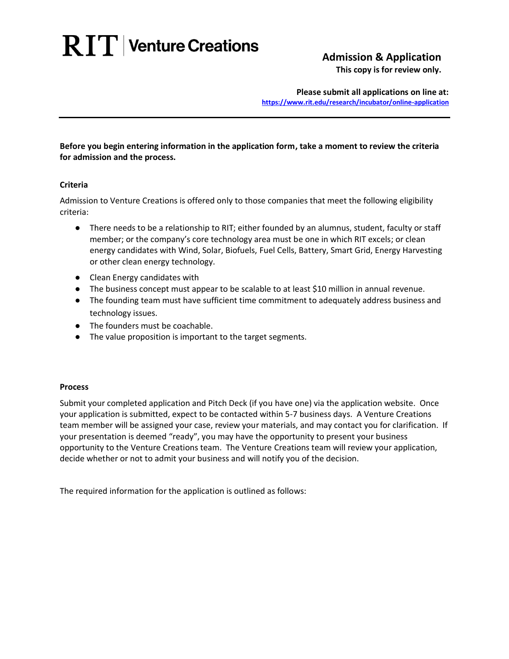# $\mathbf{R}$   $\mathbf{I}$   $\mathbf{T}$  | Venture Creations

## **Admission & Application**

**This copy is for review only.**

**Please submit all applications on line at: <https://www.rit.edu/research/incubator/online-application>**

**Before you begin entering information in the application form, take a moment to review the criteria for admission and the process.**

#### **Criteria**

Admission to Venture Creations is offered only to those companies that meet the following eligibility criteria:

- There needs to be a relationship to RIT; either founded by an alumnus, student, faculty or staff member; or the company's core technology area must be one in which RIT excels; or clean energy candidates with Wind, Solar, Biofuels, Fuel Cells, Battery, Smart Grid, Energy Harvesting or other clean energy technology.
- Clean Energy candidates with
- The business concept must appear to be scalable to at least \$10 million in annual revenue.
- The founding team must have sufficient time commitment to adequately address business and technology issues.
- The founders must be coachable.
- The value proposition is important to the target segments.

#### **Process**

Submit your completed application and Pitch Deck (if you have one) via the application website. Once your application is submitted, expect to be contacted within 5-7 business days. A Venture Creations team member will be assigned your case, review your materials, and may contact you for clarification. If your presentation is deemed "ready", you may have the opportunity to present your business opportunity to the Venture Creations team. The Venture Creations team will review your application, decide whether or not to admit your business and will notify you of the decision.

The required information for the application is outlined as follows: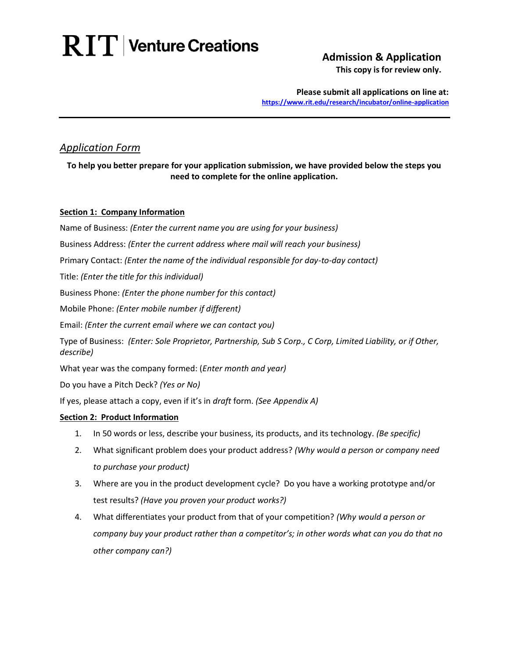### **Admission & Application**

**This copy is for review only.**

**Please submit all applications on line at: <https://www.rit.edu/research/incubator/online-application>**

### *Application Form*

**To help you better prepare for your application submission, we have provided below the steps you need to complete for the online application.**

#### **Section 1: Company Information**

Name of Business: *(Enter the current name you are using for your business)* Business Address: *(Enter the current address where mail will reach your business)* Primary Contact: *(Enter the name of the individual responsible for day-to-day contact)* Title: *(Enter the title for this individual)* Business Phone: *(Enter the phone number for this contact)* Mobile Phone: *(Enter mobile number if different)* Email: *(Enter the current email where we can contact you)* Type of Business: *(Enter: Sole Proprietor, Partnership, Sub S Corp., C Corp, Limited Liability, or if Other, describe)* What year was the company formed: (*Enter month and year)*

Do you have a Pitch Deck? *(Yes or No)*

If yes, please attach a copy, even if it's in *draft* form. *(See Appendix A)*

#### **Section 2: Product Information**

- 1. In 50 words or less, describe your business, its products, and its technology. *(Be specific)*
- 2. What significant problem does your product address? *(Why would a person or company need to purchase your product)*
- 3. Where are you in the product development cycle? Do you have a working prototype and/or test results? *(Have you proven your product works?)*
- 4. What differentiates your product from that of your competition? *(Why would a person or company buy your product rather than a competitor's; in other words what can you do that no other company can?)*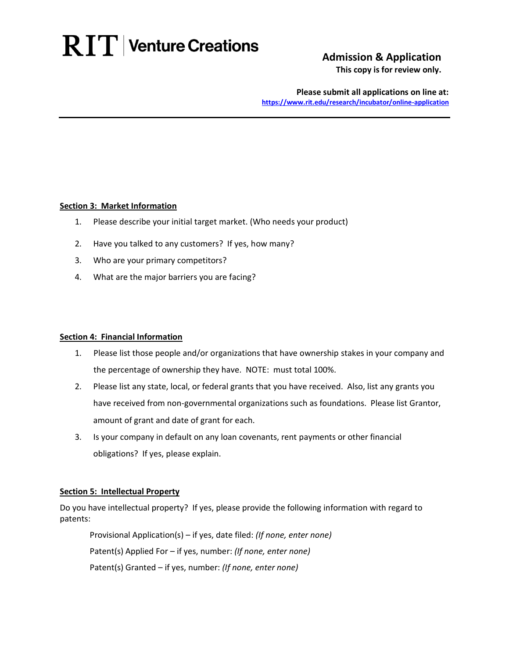### **Admission & Application**

**This copy is for review only.**

**Please submit all applications on line at: <https://www.rit.edu/research/incubator/online-application>**

#### **Section 3: Market Information**

- 1. Please describe your initial target market. (Who needs your product)
- 2. Have you talked to any customers? If yes, how many?
- 3. Who are your primary competitors?
- 4. What are the major barriers you are facing?

#### **Section 4: Financial Information**

- 1. Please list those people and/or organizations that have ownership stakes in your company and the percentage of ownership they have. NOTE: must total 100%.
- 2. Please list any state, local, or federal grants that you have received. Also, list any grants you have received from non-governmental organizations such as foundations. Please list Grantor, amount of grant and date of grant for each.
- 3. Is your company in default on any loan covenants, rent payments or other financial obligations? If yes, please explain.

#### **Section 5: Intellectual Property**

Do you have intellectual property? If yes, please provide the following information with regard to patents:

Provisional Application(s) – if yes, date filed: *(If none, enter none)* Patent(s) Applied For – if yes, number: *(If none, enter none)* Patent(s) Granted – if yes, number: *(If none, enter none)*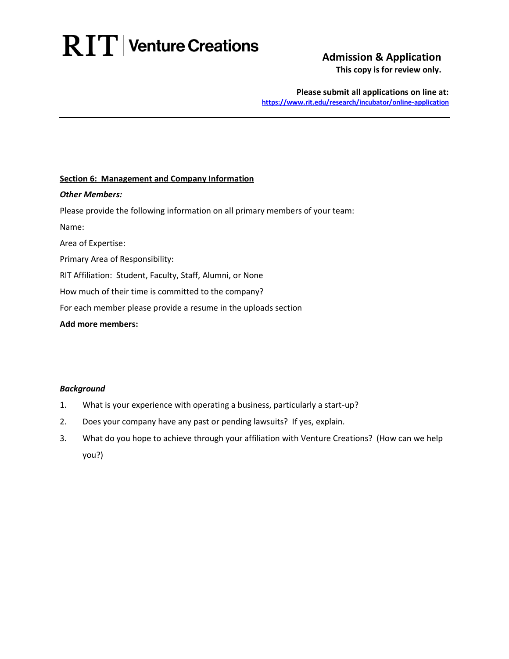### **Admission & Application**

**This copy is for review only.**

**Please submit all applications on line at: <https://www.rit.edu/research/incubator/online-application>**

#### **Section 6: Management and Company Information**

#### *Other Members:*

Please provide the following information on all primary members of your team:

Name:

Area of Expertise:

Primary Area of Responsibility:

RIT Affiliation: Student, Faculty, Staff, Alumni, or None

How much of their time is committed to the company?

For each member please provide a resume in the uploads section

#### **Add more members:**

#### *Background*

- 1. What is your experience with operating a business, particularly a start-up?
- 2. Does your company have any past or pending lawsuits? If yes, explain.
- 3. What do you hope to achieve through your affiliation with Venture Creations? (How can we help you?)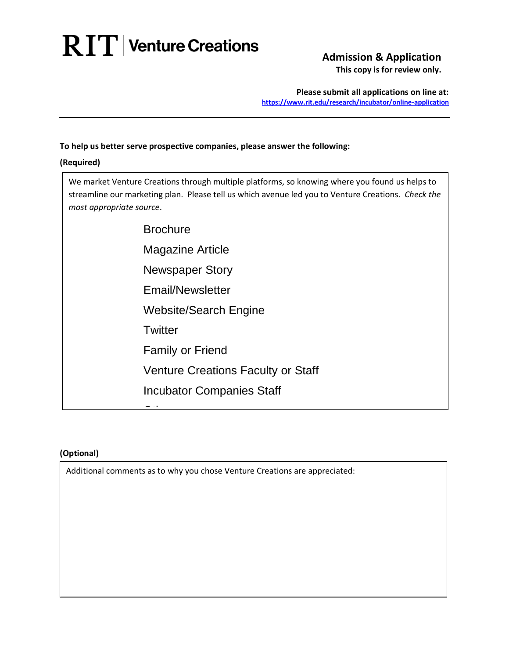# **Admission & Application**

**This copy is for review only.**

**Please submit all applications on line at: <https://www.rit.edu/research/incubator/online-application>**

#### **To help us better serve prospective companies, please answer the following:**

#### **(Required)**

We market Venture Creations through multiple platforms, so knowing where you found us helps to streamline our marketing plan. Please tell us which avenue led you to Venture Creations. *Check the most appropriate source*.

Brochure

Magazine Article

Newspaper Story

Email/Newsletter

Website/Search Engine

**Twitter** 

Family or Friend

Venture Creations Faculty or Staff

 $\overbrace{\phantom{xxxxx}}$ 

Incubator Companies Staff

#### **(Optional)**

Additional comments as to why you chose Venture Creations are appreciated: